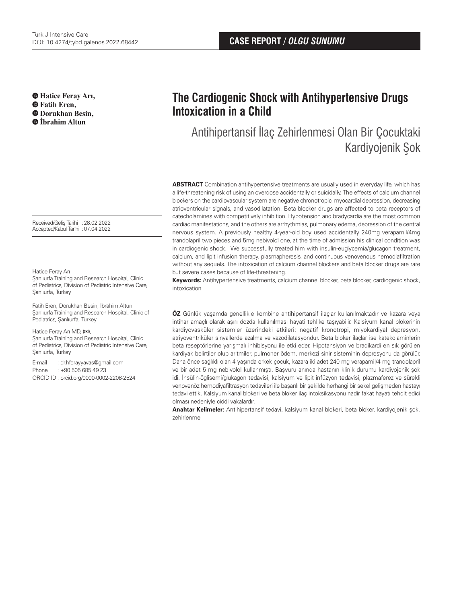**Hatice Feray Arı, Fatih Eren, Dorukhan Besin, İbrahim Altun**

Received/Geliş Tarihi :28.02.2022 Accepted/Kabul Tarihi :07.04.2022

Hatice Feray Arı

Şanlıurfa Training and Research Hospital, Clinic of Pediatrics, Division of Pediatric Intensive Care, Sanlıurfa, Turkey

Fatih Eren, Dorukhan Besin, İbrahim Altun Şanlıurfa Training and Research Hospital, Clinic of Pediatrics, Şanlıurfa, Turkey

Hatice Feray Arı MD, (**✉**), Şanlıurfa Training and Research Hospital, Clinic of Pediatrics, Division of Pediatric Intensive Care, Şanlıurfa, Turkey

E-mail : dr.hferayyavas@gmail.com Phone : +90 505 685 49 23 ORCID ID : orcid.org/0000-0002-2208-2524

# **The Cardiogenic Shock with Antihypertensive Drugs Intoxication in a Child**

Antihipertansif İlaç Zehirlenmesi Olan Bir Çocuktaki Kardiyojenik Şok

**ABSTRACT** Combination antihypertensive treatments are usually used in everyday life, which has a life-threatening risk of using an overdose accidentally or suicidally. The effects of calcium channel blockers on the cardiovascular system are negative chronotropic, myocardial depression, decreasing atrioventricular signals, and vasodilatation. Beta blocker drugs are affected to beta receptors of catecholamines with competitively inhibition. Hypotension and bradycardia are the most common cardiac manifestations, and the others are arrhythmias, pulmonary edema, depression of the central nervous system. A previously healthy 4-year-old boy used accidentally 240mg verapamil/4mg trandolapril two pieces and 5mg nebivolol one, at the time of admission his clinical condition was in cardiogenic shock. We successfully treated him with insulin-euglycemia/glucagon treatment, calcium, and lipit infusion therapy, plasmapheresis, and continuous venovenous hemodiafiltration without any sequels. The intoxication of calcium channel blockers and beta blocker drugs are rare but severe cases because of life-threatening.

**Keywords:** Antihypertensive treatments, calcium channel blocker, beta blocker, cardiogenic shock, intoxication

**ÖZ** Günlük yaşamda genellikle kombine antihipertansif ilaçlar kullanılmaktadır ve kazara veya intihar amaçlı olarak aşırı dozda kullanılması hayati tehlike taşıyabilir. Kalsiyum kanal blokerinin kardiyovasküler sistemler üzerindeki etkileri; negatif kronotropi, miyokardiyal depresyon, atriyoventriküler sinyallerde azalma ve vazodilatasyondur. Beta bloker ilaçlar ise katekolaminlerin beta reseptörlerine yarışmalı inhibisyonu ile etki eder. Hipotansiyon ve bradikardi en sık görülen kardiyak belirtiler olup aritmiler, pulmoner ödem, merkezi sinir sisteminin depresyonu da görülür. Daha önce sağlıklı olan 4 yaşında erkek çocuk, kazara iki adet 240 mg verapamil/4 mg trandolapril ve bir adet 5 mg nebivolol kullanmıştı. Başvuru anında hastanın klinik durumu kardiyojenik şok idi. İnsülin-öglisemi/glukagon tedavisi, kalsiyum ve lipit infüzyon tedavisi, plazmaferez ve sürekli venovenöz hemodiyafiltrasyon tedavileri ile başarılı bir şekilde herhangi bir sekel gelişmeden hastayı tedavi ettik. Kalsiyum kanal blokeri ve beta bloker ilaç intoksikasyonu nadir fakat hayatı tehdit edici olması nedeniyle ciddi vakalardır.

**Anahtar Kelimeler:** Antihipertansif tedavi, kalsiyum kanal blokeri, beta bloker, kardiyojenik şok, zehirlenme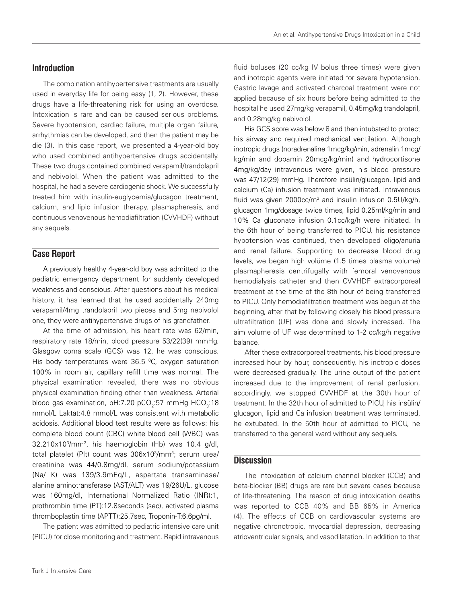## **Introduction**

The combination antihypertensive treatments are usually used in everyday life for being easy (1, 2). However, these drugs have a life-threatening risk for using an overdose. Intoxication is rare and can be caused serious problems. Severe hypotension, cardiac failure, multiple organ failure, arrhythmias can be developed, and then the patient may be die (3). In this case report, we presented a 4-year-old boy who used combined antihypertensive drugs accidentally. These two drugs contained combined verapamil/trandolapril and nebivolol. When the patient was admitted to the hospital, he had a severe cardiogenic shock. We successfully treated him with insulin-euglycemia/glucagon treatment, calcium, and lipid infusion therapy, plasmapheresis, and continuous venovenous hemodiafiltration (CVVHDF) without any sequels.

## **Case Report**

A previously healthy 4-year-old boy was admitted to the pediatric emergency department for suddenly developed weakness and conscious. After questions about his medical history, it has learned that he used accidentally 240mg verapamil/4mg trandolapril two pieces and 5mg nebivolol one, they were antihypertensive drugs of his grandfather.

At the time of admission, his heart rate was 62/min, respiratory rate 18/min, blood pressure 53/22(39) mmHg. Glasgow coma scale (GCS) was 12, he was conscious. His body temperatures were 36.5  $\degree$ C, oxygen saturation 100% in room air, capillary refill time was normal. The physical examination revealed, there was no obvious physical examination finding other than weakness. Arterial blood gas examination, pH:7.20 pCO<sub>2</sub>:57 mmHg HCO<sub>3</sub>:18 mmol/L Laktat:4.8 mmol/L was consistent with metabolic acidosis. Additional blood test results were as follows: his complete blood count (CBC) white blood cell (WBC) was 32.210x103/mm3, his haemoglobin (Hb) was 10.4 g/dl, total platelet (Plt) count was 306x10<sup>3</sup>/mm<sup>3</sup>; serum urea/ creatinine was 44/0.8mg/dl, serum sodium/potassium (Na/ K) was 139/3.9mEq/L, aspartate transaminase/ alanine aminotransferase (AST/ALT) was 19/26U/L, glucose was 160mg/dl, International Normalized Ratio (INR):1, prothrombin time (PT):12.8seconds (sec), activated plasma thromboplastin time (APTT):25.7sec, Troponin-T:6.6pg/ml.

The patient was admitted to pediatric intensive care unit (PICU) for close monitoring and treatment. Rapid intravenous

fluid boluses (20 cc/kg IV bolus three times) were given and inotropic agents were initiated for severe hypotension. Gastric lavage and activated charcoal treatment were not applied because of six hours before being admitted to the hospital he used 27mg/kg verapamil, 0.45mg/kg trandolapril, and 0.28mg/kg nebivolol.

His GCS score was below 8 and then intubated to protect his airway and required mechanical ventilation. Although inotropic drugs (noradrenaline 1mcg/kg/min, adrenalin 1mcg/ kg/min and dopamin 20mcg/kg/min) and hydrocortisone 4mg/kg/day intravenous were given, his blood pressure was 47/12(29) mmHg. Therefore insülin/glucagon, lipid and calcium (Ca) infusion treatment was initiated. Intravenous fluid was given  $2000 \text{cc/m}^2$  and insulin infusion  $0.5 U/kg/h$ , glucagon 1mg/dosage twice times, lipid 0.25ml/kg/min and 10% Ca gluconate infusion 0.1cc/kg/h were initiated. In the 6th hour of being transferred to PICU, his resistance hypotension was continued, then developed oligo/anuria and renal failure. Supporting to decrease blood drug levels, we began high volüme (1.5 times plasma volume) plasmapheresis centrifugally with femoral venovenous hemodialysis catheter and then CVVHDF extracorporeal treatment at the time of the 8th hour of being transferred to PICU. Only hemodiafiltration treatment was begun at the beginning, after that by following closely his blood pressure ultrafiltration (UF) was done and slowly increased. The aim volume of UF was determined to 1-2 cc/kg/h negative balance.

After these extracorporeal treatments, his blood pressure increased hour by hour, consequently, his inotropic doses were decreased gradually. The urine output of the patient increased due to the improvement of renal perfusion, accordingly, we stopped CVVHDF at the 30th hour of treatment. In the 32th hour of admitted to PICU, his insülin/ glucagon, lipid and Ca infusion treatment was terminated, he extubated. In the 50th hour of admitted to PICU, he transferred to the general ward without any sequels.

#### **Discussion**

The intoxication of calcium channel blocker (CCB) and beta-blocker (BB) drugs are rare but severe cases because of life-threatening. The reason of drug intoxication deaths was reported to CCB 40% and BB 65% in America (4). The effects of CCB on cardiovascular systems are negative chronotropic, myocardial depression, decreasing atrioventricular signals, and vasodilatation. In addition to that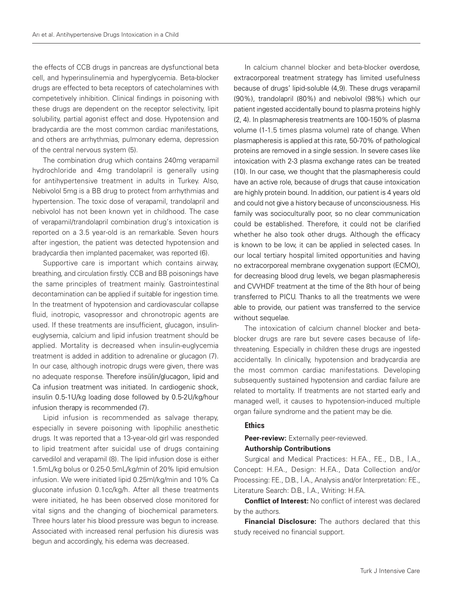the effects of CCB drugs in pancreas are dysfunctional beta cell, and hyperinsulinemia and hyperglycemia. Beta-blocker drugs are effected to beta receptors of catecholamines with competetively inhibition. Clinical findings in poisoning with these drugs are dependent on the receptor selectivity, lipit solubility, partial agonist effect and dose. Hypotension and bradycardia are the most common cardiac manifestations, and others are arrhythmias, pulmonary edema, depression of the central nervous system (5).

The combination drug which contains 240mg verapamil hydrochloride and 4mg trandolapril is generally using for antihypertensive treatment in adults in Turkey. Also, Nebivolol 5mg is a BB drug to protect from arrhythmias and hypertension. The toxic dose of verapamil, trandolapril and nebivolol has not been known yet in childhood. The case of verapamil/trandolapril combination drug's intoxication is reported on a 3.5 year-old is an remarkable. Seven hours after ingestion, the patient was detected hypotension and bradycardia then implanted pacemaker, was reported (6).

Supportive care is important which contains airway, breathing, and circulation firstly. CCB and BB poisonings have the same principles of treatment mainly. Gastrointestinal decontamination can be applied if suitable for ingestion time. In the treatment of hypotension and cardiovascular collapse fluid, inotropic, vasopressor and chronotropic agents are used. If these treatments are insufficient, glucagon, insulineuglysemia, calcium and lipid infusion treatment should be applied. Mortality is decreased when insulin-euglycemia treatment is added in addition to adrenaline or glucagon (7). In our case, although inotropic drugs were given, there was no adequate response. Therefore insülin/glucagon, lipid and Ca infusion treatment was initiated. In cardiogenic shock, insulin 0.5-1U/kg loading dose followed by 0.5-2U/kg/hour infusion therapy is recommended (7).

Lipid infusion is recommended as salvage therapy, especially in severe poisoning with lipophilic anesthetic drugs. It was reported that a 13-year-old girl was responded to lipid treatment after suicidal use of drugs containing carvedilol and verapamil (8). The lipid infusion dose is either 1.5mL/kg bolus or 0.25-0.5mL/kg/min of 20% lipid emulsion infusion. We were initiated lipid 0.25ml/kg/min and 10% Ca gluconate infusion 0.1cc/kg/h. After all these treatments were initiated, he has been observed close monitored for vital signs and the changing of biochemical parameters. Three hours later his blood pressure was begun to increase. Associated with increased renal perfusion his diuresis was begun and accordingly, his edema was decreased.

In calcium channel blocker and beta-blocker overdose, extracorporeal treatment strategy has limited usefulness because of drugs' lipid-soluble (4,9). These drugs verapamil (90%), trandolapril (80%) and nebivolol (98%) which our patient ingested accidentally bound to plasma proteins highly (2, 4). In plasmapheresis treatments are 100-150% of plasma volume (1-1.5 times plasma volume) rate of change. When plasmapheresis is applied at this rate, 50-70% of pathological proteins are removed in a single session. In severe cases like intoxication with 2-3 plasma exchange rates can be treated (10). In our case, we thought that the plasmapheresis could have an active role, because of drugs that cause intoxication are highly protein bound. In addition, our patient is 4 years old and could not give a history because of unconsciousness. His family was socioculturally poor, so no clear communication could be established. Therefore, it could not be clarified whether he also took other drugs. Although the efficacy is known to be low, it can be applied in selected cases. In our local tertiary hospital limited opportunities and having no extracorporeal membrane oxygenation support (ECMO), for decreasing blood drug levels, we began plasmapheresis and CVVHDF treatment at the time of the 8th hour of being transferred to PICU. Thanks to all the treatments we were able to provide, our patient was transferred to the service without sequelae.

The intoxication of calcium channel blocker and betablocker drugs are rare but severe cases because of lifethreatening. Especially in children these drugs are ingested accidentally. In clinically, hypotension and bradycardia are the most common cardiac manifestations. Developing subsequently sustained hypotension and cardiac failure are related to mortality. If treatments are not started early and managed well, it causes to hypotension-induced multiple organ failure syndrome and the patient may be die.

#### **Ethics**

**Peer-review:** Externally peer-reviewed.

#### **Authorship Contributions**

Surgical and Medical Practices: H.F.A., F.E., D.B., İ.A., Concept: H.F.A., Design: H.F.A., Data Collection and/or Processing: F.E., D.B., İ.A., Analysis and/or Interpretation: F.E., Literature Search: D.B., İ.A., Writing: H.F.A.

**Conflict of Interest:** No conflict of interest was declared by the authors.

**Financial Disclosure:** The authors declared that this study received no financial support.